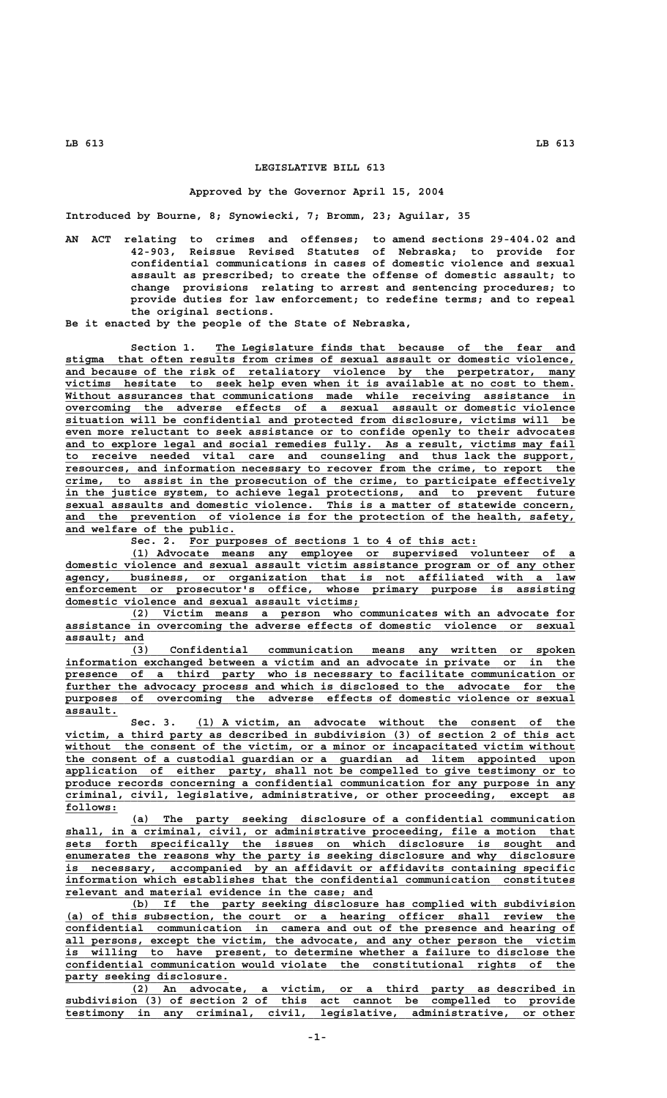## **LEGISLATIVE BILL 613**

## **Approved by the Governor April 15, 2004**

**Introduced by Bourne, 8; Synowiecki, 7; Bromm, 23; Aguilar, 35**

**AN ACT relating to crimes and offenses; to amend sections 29-404.02 and 42-903, Reissue Revised Statutes of Nebraska; to provide for confidential communications in cases of domestic violence and sexual assault as prescribed; to create the offense of domestic assault; to change provisions relating to arrest and sentencing procedures; to provide duties for law enforcement; to redefine terms; and to repeal the original sections.**

**Be it enacted by the people of the State of Nebraska,**

Section 1. The Legislature finds that because of the fear and  **\_\_\_\_\_\_\_\_\_\_\_\_\_\_\_\_\_\_\_\_\_\_\_\_\_\_\_\_\_\_\_\_\_\_\_\_\_\_\_\_\_\_\_\_\_\_\_\_\_\_\_\_\_\_\_\_\_\_\_\_\_\_\_\_\_\_\_\_\_\_\_\_\_\_\_\_\_\_ stigma that often results from crimes of sexual assault or domestic violence, \_\_\_\_\_\_\_\_\_\_\_\_\_\_\_\_\_\_\_\_\_\_\_\_\_\_\_\_\_\_\_\_\_\_\_\_\_\_\_\_\_\_\_\_\_\_\_\_\_\_\_\_\_\_\_\_\_\_\_\_\_\_\_\_\_\_\_\_\_\_\_\_\_\_\_\_\_\_ and because of the risk of retaliatory violence by the perpetrator, many** victims hesitate to seek help even when it is available at no cost to them. Without assurances that communications made while receiving assistance in  **\_\_\_\_\_\_\_\_\_\_\_\_\_\_\_\_\_\_\_\_\_\_\_\_\_\_\_\_\_\_\_\_\_\_\_\_\_\_\_\_\_\_\_\_\_\_\_\_\_\_\_\_\_\_\_\_\_\_\_\_\_\_\_\_\_\_\_\_\_\_\_\_\_\_\_\_\_\_ overcoming the adverse effects of a sexual assault or domestic violence \_\_\_\_\_\_\_\_\_\_\_\_\_\_\_\_\_\_\_\_\_\_\_\_\_\_\_\_\_\_\_\_\_\_\_\_\_\_\_\_\_\_\_\_\_\_\_\_\_\_\_\_\_\_\_\_\_\_\_\_\_\_\_\_\_\_\_\_\_\_\_\_\_\_\_\_\_\_ situation will be confidential and protected from disclosure, victims will be \_\_\_\_\_\_\_\_\_\_\_\_\_\_\_\_\_\_\_\_\_\_\_\_\_\_\_\_\_\_\_\_\_\_\_\_\_\_\_\_\_\_\_\_\_\_\_\_\_\_\_\_\_\_\_\_\_\_\_\_\_\_\_\_\_\_\_\_\_\_\_\_\_\_\_\_\_\_ even more reluctant to seek assistance or to confide openly to their advocates** and to explore legal and social remedies fully. As a result, victims may fail  **\_\_\_\_\_\_\_\_\_\_\_\_\_\_\_\_\_\_\_\_\_\_\_\_\_\_\_\_\_\_\_\_\_\_\_\_\_\_\_\_\_\_\_\_\_\_\_\_\_\_\_\_\_\_\_\_\_\_\_\_\_\_\_\_\_\_\_\_\_\_\_\_\_\_\_\_\_\_ to receive needed vital care and counseling and thus lack the support,** resources, and information necessary to recover from the crime, to report crime, to assist in the prosecution of the crime, to participate effectively  **\_\_\_\_\_\_\_\_\_\_\_\_\_\_\_\_\_\_\_\_\_\_\_\_\_\_\_\_\_\_\_\_\_\_\_\_\_\_\_\_\_\_\_\_\_\_\_\_\_\_\_\_\_\_\_\_\_\_\_\_\_\_\_\_\_\_\_\_\_\_\_\_\_\_\_\_\_\_ in the justice system, to achieve legal protections, and to prevent future \_\_\_\_\_\_\_\_\_\_\_\_\_\_\_\_\_\_\_\_\_\_\_\_\_\_\_\_\_\_\_\_\_\_\_\_\_\_\_\_\_\_\_\_\_\_\_\_\_\_\_\_\_\_\_\_\_\_\_\_\_\_\_\_\_\_\_\_\_\_\_\_\_\_\_\_\_\_ sexual assaults and domestic violence. This is a matter of statewide concern,** and the prevention of violence is for the protection of the health, safety,  **\_\_\_\_\_\_\_\_\_\_\_\_\_\_\_\_\_\_\_\_\_\_\_\_\_\_ and welfare of the public.**

Sec. 2. For purposes of sections 1 to 4 of this act:

 **\_\_\_\_\_\_\_\_\_\_\_\_\_\_\_\_\_\_\_\_\_\_\_\_\_\_\_\_\_\_\_\_\_\_\_\_\_\_\_\_\_\_\_\_\_\_\_\_\_\_\_\_\_\_\_\_\_\_\_\_\_\_\_\_\_\_\_\_ (1) Advocate means any employee or supervised volunteer of a \_\_\_\_\_\_\_\_\_\_\_\_\_\_\_\_\_\_\_\_\_\_\_\_\_\_\_\_\_\_\_\_\_\_\_\_\_\_\_\_\_\_\_\_\_\_\_\_\_\_\_\_\_\_\_\_\_\_\_\_\_\_\_\_\_\_\_\_\_\_\_\_\_\_\_\_\_\_ domestic violence and sexual assault victim assistance program or of any other \_\_\_\_\_\_\_\_\_\_\_\_\_\_\_\_\_\_\_\_\_\_\_\_\_\_\_\_\_\_\_\_\_\_\_\_\_\_\_\_\_\_\_\_\_\_\_\_\_\_\_\_\_\_\_\_\_\_\_\_\_\_\_\_\_\_\_\_\_\_\_\_\_\_\_\_\_\_ agency, business, or organization that is not affiliated with a law \_\_\_\_\_\_\_\_\_\_\_\_\_\_\_\_\_\_\_\_\_\_\_\_\_\_\_\_\_\_\_\_\_\_\_\_\_\_\_\_\_\_\_\_\_\_\_\_\_\_\_\_\_\_\_\_\_\_\_\_\_\_\_\_\_\_\_\_\_\_\_\_\_\_\_\_\_\_ enforcement or prosecutor's office, whose primary purpose is assisting \_\_\_\_\_\_\_\_\_\_\_\_\_\_\_\_\_\_\_\_\_\_\_\_\_\_\_\_\_\_\_\_\_\_\_\_\_\_\_\_\_\_\_\_\_ domestic violence and sexual assault victims;**

 **\_\_\_\_\_\_\_\_\_\_\_\_\_\_\_\_\_\_\_\_\_\_\_\_\_\_\_\_\_\_\_\_\_\_\_\_\_\_\_\_\_\_\_\_\_\_\_\_\_\_\_\_\_\_\_\_\_\_\_\_\_\_\_\_\_\_\_\_ (2) Victim means a person who communicates with an advocate for \_\_\_\_\_\_\_\_\_\_\_\_\_\_\_\_\_\_\_\_\_\_\_\_\_\_\_\_\_\_\_\_\_\_\_\_\_\_\_\_\_\_\_\_\_\_\_\_\_\_\_\_\_\_\_\_\_\_\_\_\_\_\_\_\_\_\_\_\_\_\_\_\_\_\_\_\_\_ assistance in overcoming the adverse effects of domestic violence or sexual assault; and \_\_\_\_\_\_\_\_\_\_\_\_**

 **\_\_\_\_\_\_\_\_\_\_\_\_\_\_\_\_\_\_\_\_\_\_\_\_\_\_\_\_\_\_\_\_\_\_\_\_\_\_\_\_\_\_\_\_\_\_\_\_\_\_\_\_\_\_\_\_\_\_\_\_\_\_\_\_\_\_\_\_ (3) Confidential communication means any written or spoken \_\_\_\_\_\_\_\_\_\_\_\_\_\_\_\_\_\_\_\_\_\_\_\_\_\_\_\_\_\_\_\_\_\_\_\_\_\_\_\_\_\_\_\_\_\_\_\_\_\_\_\_\_\_\_\_\_\_\_\_\_\_\_\_\_\_\_\_\_\_\_\_\_\_\_\_\_\_ information exchanged between a victim and an advocate in private or in the** presence of a third party who is necessary to facilitate communication or further the advocacy process and which is disclosed to the advocate for the purposes of overcoming the adverse effects of domestic violence or sexual  $\overline{\text{assault.}}$ 

 **\_\_\_\_\_\_\_\_\_\_\_\_\_\_\_\_\_\_\_\_\_\_\_\_\_\_\_\_\_\_\_\_\_\_\_\_\_\_\_\_\_\_\_\_\_\_\_\_\_\_\_\_\_\_\_\_\_\_ Sec. 3. (1) A victim, an advocate without the consent of the** victim, a third party as described in subdivision (3) of section 2 of this act  **\_\_\_\_\_\_\_\_\_\_\_\_\_\_\_\_\_\_\_\_\_\_\_\_\_\_\_\_\_\_\_\_\_\_\_\_\_\_\_\_\_\_\_\_\_\_\_\_\_\_\_\_\_\_\_\_\_\_\_\_\_\_\_\_\_\_\_\_\_\_\_\_\_\_\_\_\_\_ without the consent of the victim, or a minor or incapacitated victim without \_\_\_\_\_\_\_\_\_\_\_\_\_\_\_\_\_\_\_\_\_\_\_\_\_\_\_\_\_\_\_\_\_\_\_\_\_\_\_\_\_\_\_\_\_\_\_\_\_\_\_\_\_\_\_\_\_\_\_\_\_\_\_\_\_\_\_\_\_\_\_\_\_\_\_\_\_\_ the consent of a custodial guardian or a guardian ad litem appointed upon \_\_\_\_\_\_\_\_\_\_\_\_\_\_\_\_\_\_\_\_\_\_\_\_\_\_\_\_\_\_\_\_\_\_\_\_\_\_\_\_\_\_\_\_\_\_\_\_\_\_\_\_\_\_\_\_\_\_\_\_\_\_\_\_\_\_\_\_\_\_\_\_\_\_\_\_\_\_ application of either party, shall not be compelled to give testimony or to \_\_\_\_\_\_\_\_\_\_\_\_\_\_\_\_\_\_\_\_\_\_\_\_\_\_\_\_\_\_\_\_\_\_\_\_\_\_\_\_\_\_\_\_\_\_\_\_\_\_\_\_\_\_\_\_\_\_\_\_\_\_\_\_\_\_\_\_\_\_\_\_\_\_\_\_\_\_ produce records concerning a confidential communication for any purpose in any \_\_\_\_\_\_\_\_\_\_\_\_\_\_\_\_\_\_\_\_\_\_\_\_\_\_\_\_\_\_\_\_\_\_\_\_\_\_\_\_\_\_\_\_\_\_\_\_\_\_\_\_\_\_\_\_\_\_\_\_\_\_\_\_\_\_\_\_\_\_\_\_\_\_\_\_\_\_ criminal, civil, legislative, administrative, or other proceeding, except as follows: \_\_\_\_\_\_\_\_**

 **\_\_\_\_\_\_\_\_\_\_\_\_\_\_\_\_\_\_\_\_\_\_\_\_\_\_\_\_\_\_\_\_\_\_\_\_\_\_\_\_\_\_\_\_\_\_\_\_\_\_\_\_\_\_\_\_\_\_\_\_\_\_\_\_\_\_\_\_ (a) The party seeking disclosure of a confidential communication \_\_\_\_\_\_\_\_\_\_\_\_\_\_\_\_\_\_\_\_\_\_\_\_\_\_\_\_\_\_\_\_\_\_\_\_\_\_\_\_\_\_\_\_\_\_\_\_\_\_\_\_\_\_\_\_\_\_\_\_\_\_\_\_\_\_\_\_\_\_\_\_\_\_\_\_\_\_ shall, in a criminal, civil, or administrative proceeding, file a motion that \_\_\_\_\_\_\_\_\_\_\_\_\_\_\_\_\_\_\_\_\_\_\_\_\_\_\_\_\_\_\_\_\_\_\_\_\_\_\_\_\_\_\_\_\_\_\_\_\_\_\_\_\_\_\_\_\_\_\_\_\_\_\_\_\_\_\_\_\_\_\_\_\_\_\_\_\_\_ sets forth specifically the issues on which disclosure is sought and \_\_\_\_\_\_\_\_\_\_\_\_\_\_\_\_\_\_\_\_\_\_\_\_\_\_\_\_\_\_\_\_\_\_\_\_\_\_\_\_\_\_\_\_\_\_\_\_\_\_\_\_\_\_\_\_\_\_\_\_\_\_\_\_\_\_\_\_\_\_\_\_\_\_\_\_\_\_ enumerates the reasons why the party is seeking disclosure and why disclosure \_\_\_\_\_\_\_\_\_\_\_\_\_\_\_\_\_\_\_\_\_\_\_\_\_\_\_\_\_\_\_\_\_\_\_\_\_\_\_\_\_\_\_\_\_\_\_\_\_\_\_\_\_\_\_\_\_\_\_\_\_\_\_\_\_\_\_\_\_\_\_\_\_\_\_\_\_\_ is necessary, accompanied by an affidavit or affidavits containing specific \_\_\_\_\_\_\_\_\_\_\_\_\_\_\_\_\_\_\_\_\_\_\_\_\_\_\_\_\_\_\_\_\_\_\_\_\_\_\_\_\_\_\_\_\_\_\_\_\_\_\_\_\_\_\_\_\_\_\_\_\_\_\_\_\_\_\_\_\_\_\_\_\_\_\_\_\_\_ information which establishes that the confidential communication constitutes \_\_\_\_\_\_\_\_\_\_\_\_\_\_\_\_\_\_\_\_\_\_\_\_\_\_\_\_\_\_\_\_\_\_\_\_\_\_\_\_\_\_\_\_\_\_\_ relevant and material evidence in the case; and**

 **\_\_\_\_\_\_\_\_\_\_\_\_\_\_\_\_\_\_\_\_\_\_\_\_\_\_\_\_\_\_\_\_\_\_\_\_\_\_\_\_\_\_\_\_\_\_\_\_\_\_\_\_\_\_\_\_\_\_\_\_\_\_\_\_\_\_\_\_ (b) If the party seeking disclosure has complied with subdivision \_\_\_\_\_\_\_\_\_\_\_\_\_\_\_\_\_\_\_\_\_\_\_\_\_\_\_\_\_\_\_\_\_\_\_\_\_\_\_\_\_\_\_\_\_\_\_\_\_\_\_\_\_\_\_\_\_\_\_\_\_\_\_\_\_\_\_\_\_\_\_\_\_\_\_\_\_\_ (a) of this subsection, the court or a hearing officer shall review the \_\_\_\_\_\_\_\_\_\_\_\_\_\_\_\_\_\_\_\_\_\_\_\_\_\_\_\_\_\_\_\_\_\_\_\_\_\_\_\_\_\_\_\_\_\_\_\_\_\_\_\_\_\_\_\_\_\_\_\_\_\_\_\_\_\_\_\_\_\_\_\_\_\_\_\_\_\_ confidential communication in camera and out of the presence and hearing of** all persons, except the victim, the advocate, and any other person the victim  **\_\_\_\_\_\_\_\_\_\_\_\_\_\_\_\_\_\_\_\_\_\_\_\_\_\_\_\_\_\_\_\_\_\_\_\_\_\_\_\_\_\_\_\_\_\_\_\_\_\_\_\_\_\_\_\_\_\_\_\_\_\_\_\_\_\_\_\_\_\_\_\_\_\_\_\_\_\_ is willing to have present, to determine whether a failure to disclose the \_\_\_\_\_\_\_\_\_\_\_\_\_\_\_\_\_\_\_\_\_\_\_\_\_\_\_\_\_\_\_\_\_\_\_\_\_\_\_\_\_\_\_\_\_\_\_\_\_\_\_\_\_\_\_\_\_\_\_\_\_\_\_\_\_\_\_\_\_\_\_\_\_\_\_\_\_\_ confidential communication would violate the constitutional rights of the \_\_\_\_\_\_\_\_\_\_\_\_\_\_\_\_\_\_\_\_\_\_\_\_\_ party seeking disclosure.**

 **\_\_\_\_\_\_\_\_\_\_\_\_\_\_\_\_\_\_\_\_\_\_\_\_\_\_\_\_\_\_\_\_\_\_\_\_\_\_\_\_\_\_\_\_\_\_\_\_\_\_\_\_\_\_\_\_\_\_\_\_\_\_\_\_\_\_\_\_ (2) An advocate, a victim, or a third party as described in \_\_\_\_\_\_\_\_\_\_\_\_\_\_\_\_\_\_\_\_\_\_\_\_\_\_\_\_\_\_\_\_\_\_\_\_\_\_\_\_\_\_\_\_\_\_\_\_\_\_\_\_\_\_\_\_\_\_\_\_\_\_\_\_\_\_\_\_\_\_\_\_\_\_\_\_\_\_ subdivision (3) of section 2 of this act cannot be compelled to provide \_\_\_\_\_\_\_\_\_\_\_\_\_\_\_\_\_\_\_\_\_\_\_\_\_\_\_\_\_\_\_\_\_\_\_\_\_\_\_\_\_\_\_\_\_\_\_\_\_\_\_\_\_\_\_\_\_\_\_\_\_\_\_\_\_\_\_\_\_\_\_\_\_\_\_\_\_\_ testimony in any criminal, civil, legislative, administrative, or other**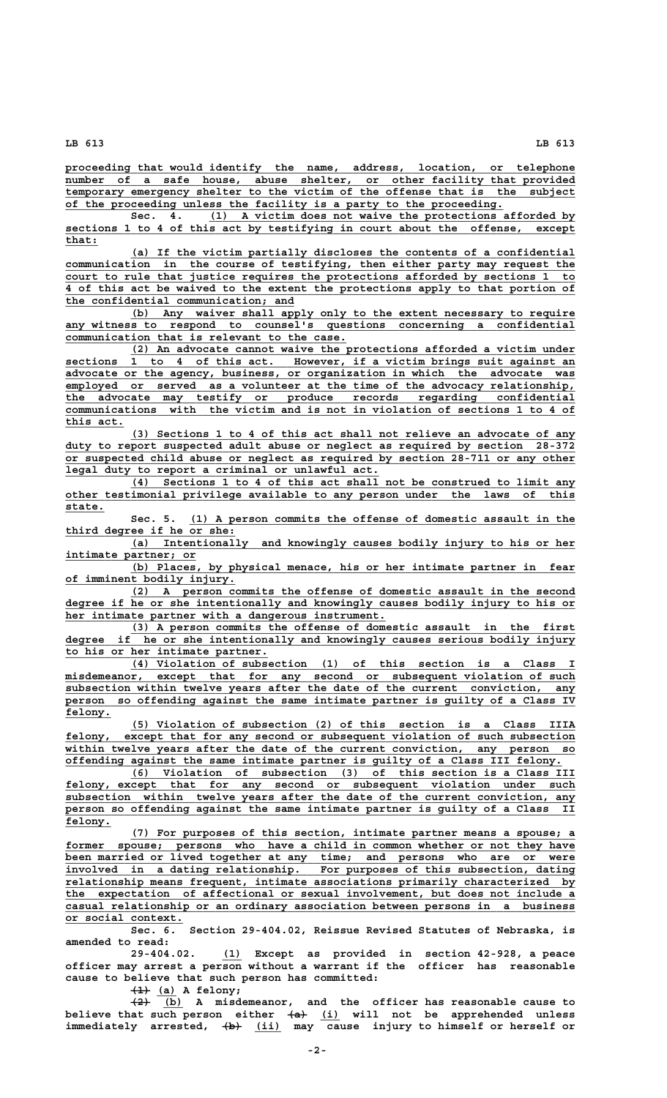**\_\_\_\_\_\_\_\_\_\_\_\_\_\_\_\_\_\_\_\_\_\_\_\_\_\_\_\_\_\_\_\_\_\_\_\_\_\_\_\_\_\_\_\_\_\_\_\_\_\_\_\_\_\_\_\_\_\_\_\_\_\_\_\_\_\_\_\_\_\_\_\_\_\_\_\_\_\_ proceeding that would identify the name, address, location, or telephone \_\_\_\_\_\_\_\_\_\_\_\_\_\_\_\_\_\_\_\_\_\_\_\_\_\_\_\_\_\_\_\_\_\_\_\_\_\_\_\_\_\_\_\_\_\_\_\_\_\_\_\_\_\_\_\_\_\_\_\_\_\_\_\_\_\_\_\_\_\_\_\_\_\_\_\_\_\_ number of a safe house, abuse shelter, or other facility that provided \_\_\_\_\_\_\_\_\_\_\_\_\_\_\_\_\_\_\_\_\_\_\_\_\_\_\_\_\_\_\_\_\_\_\_\_\_\_\_\_\_\_\_\_\_\_\_\_\_\_\_\_\_\_\_\_\_\_\_\_\_\_\_\_\_\_\_\_\_\_\_\_\_\_\_\_\_\_ temporary emergency shelter to the victim of the offense that is the subject \_\_\_\_\_\_\_\_\_\_\_\_\_\_\_\_\_\_\_\_\_\_\_\_\_\_\_\_\_\_\_\_\_\_\_\_\_\_\_\_\_\_\_\_\_\_\_\_\_\_\_\_\_\_\_\_\_\_\_\_\_\_\_\_\_\_\_ of the proceeding unless the facility is a party to the proceeding.**

 **Sec. 4.** (1) A victim does not waive the protections afforded by  **\_\_\_\_\_\_\_\_\_\_\_\_\_\_\_\_\_\_\_\_\_\_\_\_\_\_\_\_\_\_\_\_\_\_\_\_\_\_\_\_\_\_\_\_\_\_\_\_\_\_\_\_\_\_\_\_\_\_\_\_\_\_\_\_\_\_\_\_\_\_\_\_\_\_\_\_\_\_ sections 1 to 4 of this act by testifying in court about the offense, except that:\_\_\_\_\_**

 **\_\_\_\_\_\_\_\_\_\_\_\_\_\_\_\_\_\_\_\_\_\_\_\_\_\_\_\_\_\_\_\_\_\_\_\_\_\_\_\_\_\_\_\_\_\_\_\_\_\_\_\_\_\_\_\_\_\_\_\_\_\_\_\_\_\_\_\_ (a) If the victim partially discloses the contents of a confidential \_\_\_\_\_\_\_\_\_\_\_\_\_\_\_\_\_\_\_\_\_\_\_\_\_\_\_\_\_\_\_\_\_\_\_\_\_\_\_\_\_\_\_\_\_\_\_\_\_\_\_\_\_\_\_\_\_\_\_\_\_\_\_\_\_\_\_\_\_\_\_\_\_\_\_\_\_\_ communication in the course of testifying, then either party may request the \_\_\_\_\_\_\_\_\_\_\_\_\_\_\_\_\_\_\_\_\_\_\_\_\_\_\_\_\_\_\_\_\_\_\_\_\_\_\_\_\_\_\_\_\_\_\_\_\_\_\_\_\_\_\_\_\_\_\_\_\_\_\_\_\_\_\_\_\_\_\_\_\_\_\_\_\_\_ court to rule that justice requires the protections afforded by sections 1 to \_\_\_\_\_\_\_\_\_\_\_\_\_\_\_\_\_\_\_\_\_\_\_\_\_\_\_\_\_\_\_\_\_\_\_\_\_\_\_\_\_\_\_\_\_\_\_\_\_\_\_\_\_\_\_\_\_\_\_\_\_\_\_\_\_\_\_\_\_\_\_\_\_\_\_\_\_\_ 4 of this act be waived to the extent the protections apply to that portion of \_\_\_\_\_\_\_\_\_\_\_\_\_\_\_\_\_\_\_\_\_\_\_\_\_\_\_\_\_\_\_\_\_\_\_ the confidential communication; and**

 **\_\_\_\_\_\_\_\_\_\_\_\_\_\_\_\_\_\_\_\_\_\_\_\_\_\_\_\_\_\_\_\_\_\_\_\_\_\_\_\_\_\_\_\_\_\_\_\_\_\_\_\_\_\_\_\_\_\_\_\_\_\_\_\_\_\_\_\_ (b) Any waiver shall apply only to the extent necessary to require** any witness to respond to counsel's questions concerning a confidential  **\_\_\_\_\_\_\_\_\_\_\_\_\_\_\_\_\_\_\_\_\_\_\_\_\_\_\_\_\_\_\_\_\_\_\_\_\_\_\_\_\_\_\_ communication that is relevant to the case.**

 **\_\_\_\_\_\_\_\_\_\_\_\_\_\_\_\_\_\_\_\_\_\_\_\_\_\_\_\_\_\_\_\_\_\_\_\_\_\_\_\_\_\_\_\_\_\_\_\_\_\_\_\_\_\_\_\_\_\_\_\_\_\_\_\_\_\_\_\_ (2) An advocate cannot waive the protections afforded a victim under \_\_\_\_\_\_\_\_\_\_\_\_\_\_\_\_\_\_\_\_\_\_\_\_\_\_\_\_\_\_\_\_\_\_\_\_\_\_\_\_\_\_\_\_\_\_\_\_\_\_\_\_\_\_\_\_\_\_\_\_\_\_\_\_\_\_\_\_\_\_\_\_\_\_\_\_\_\_ sections 1 to 4 of this act. However, if a victim brings suit against an \_\_\_\_\_\_\_\_\_\_\_\_\_\_\_\_\_\_\_\_\_\_\_\_\_\_\_\_\_\_\_\_\_\_\_\_\_\_\_\_\_\_\_\_\_\_\_\_\_\_\_\_\_\_\_\_\_\_\_\_\_\_\_\_\_\_\_\_\_\_\_\_\_\_\_\_\_\_ advocate or the agency, business, or organization in which the advocate was** employed or served as a volunteer at the time of the advocacy relationship,  **\_\_\_\_\_\_\_\_\_\_\_\_\_\_\_\_\_\_\_\_\_\_\_\_\_\_\_\_\_\_\_\_\_\_\_\_\_\_\_\_\_\_\_\_\_\_\_\_\_\_\_\_\_\_\_\_\_\_\_\_\_\_\_\_\_\_\_\_\_\_\_\_\_\_\_\_\_\_ the advocate may testify or produce records regarding confidential \_\_\_\_\_\_\_\_\_\_\_\_\_\_\_\_\_\_\_\_\_\_\_\_\_\_\_\_\_\_\_\_\_\_\_\_\_\_\_\_\_\_\_\_\_\_\_\_\_\_\_\_\_\_\_\_\_\_\_\_\_\_\_\_\_\_\_\_\_\_\_\_\_\_\_\_\_\_ communications with the victim and is not in violation of sections 1 to 4 of** this <u>act.</u>

 **\_\_\_\_\_\_\_\_\_\_\_\_\_\_\_\_\_\_\_\_\_\_\_\_\_\_\_\_\_\_\_\_\_\_\_\_\_\_\_\_\_\_\_\_\_\_\_\_\_\_\_\_\_\_\_\_\_\_\_\_\_\_\_\_\_\_\_\_ (3) Sections 1 to 4 of this act shall not relieve an advocate of any** duty to report suspected adult abuse or neglect as required by section 28-372  **\_\_\_\_\_\_\_\_\_\_\_\_\_\_\_\_\_\_\_\_\_\_\_\_\_\_\_\_\_\_\_\_\_\_\_\_\_\_\_\_\_\_\_\_\_\_\_\_\_\_\_\_\_\_\_\_\_\_\_\_\_\_\_\_\_\_\_\_\_\_\_\_\_\_\_\_\_\_ or suspected child abuse or neglect as required by section 28-711 or any other \_\_\_\_\_\_\_\_\_\_\_\_\_\_\_\_\_\_\_\_\_\_\_\_\_\_\_\_\_\_\_\_\_\_\_\_\_\_\_\_\_\_\_\_\_\_\_\_ legal duty to report a criminal or unlawful act.**

 **\_\_\_\_\_\_\_\_\_\_\_\_\_\_\_\_\_\_\_\_\_\_\_\_\_\_\_\_\_\_\_\_\_\_\_\_\_\_\_\_\_\_\_\_\_\_\_\_\_\_\_\_\_\_\_\_\_\_\_\_\_\_\_\_\_\_\_\_ (4) Sections 1 to 4 of this act shall not be construed to limit any \_\_\_\_\_\_\_\_\_\_\_\_\_\_\_\_\_\_\_\_\_\_\_\_\_\_\_\_\_\_\_\_\_\_\_\_\_\_\_\_\_\_\_\_\_\_\_\_\_\_\_\_\_\_\_\_\_\_\_\_\_\_\_\_\_\_\_\_\_\_\_\_\_\_\_\_\_\_ other testimonial privilege available to any person under the laws of this state.\_\_\_\_\_\_**

 **\_\_\_\_\_\_\_\_\_\_\_\_\_\_\_\_\_\_\_\_\_\_\_\_\_\_\_\_\_\_\_\_\_\_\_\_\_\_\_\_\_\_\_\_\_\_\_\_\_\_\_\_\_\_\_\_\_\_\_ Sec. 5. (1) A person commits the offense of domestic assault in the \_\_\_\_\_\_\_\_\_\_\_\_\_\_\_\_\_\_\_\_\_\_\_\_\_\_ third degree if he or she:**

> **\_\_\_\_\_\_\_\_\_\_\_\_\_\_\_\_\_\_\_\_\_\_\_\_\_\_\_\_\_\_\_\_\_\_\_\_\_\_\_\_\_\_\_\_\_\_\_\_\_\_\_\_\_\_\_\_\_\_\_\_\_\_\_\_\_\_\_\_ (a) Intentionally and knowingly causes bodily injury to his or her \_\_\_\_\_\_\_\_\_\_\_\_\_\_\_\_\_\_\_\_ intimate partner; or**

> **\_\_\_\_\_\_\_\_\_\_\_\_\_\_\_\_\_\_\_\_\_\_\_\_\_\_\_\_\_\_\_\_\_\_\_\_\_\_\_\_\_\_\_\_\_\_\_\_\_\_\_\_\_\_\_\_\_\_\_\_\_\_\_\_\_\_\_\_ (b) Places, by physical menace, his or her intimate partner in fear \_\_\_\_\_\_\_\_\_\_\_\_\_\_\_\_\_\_\_\_\_\_\_\_\_\_ of imminent bodily injury.**

> **\_\_\_\_\_\_\_\_\_\_\_\_\_\_\_\_\_\_\_\_\_\_\_\_\_\_\_\_\_\_\_\_\_\_\_\_\_\_\_\_\_\_\_\_\_\_\_\_\_\_\_\_\_\_\_\_\_\_\_\_\_\_\_\_\_\_\_\_ (2) A person commits the offense of domestic assault in the second \_\_\_\_\_\_\_\_\_\_\_\_\_\_\_\_\_\_\_\_\_\_\_\_\_\_\_\_\_\_\_\_\_\_\_\_\_\_\_\_\_\_\_\_\_\_\_\_\_\_\_\_\_\_\_\_\_\_\_\_\_\_\_\_\_\_\_\_\_\_\_\_\_\_\_\_\_\_ degree if he or she intentionally and knowingly causes bodily injury to his or \_\_\_\_\_\_\_\_\_\_\_\_\_\_\_\_\_\_\_\_\_\_\_\_\_\_\_\_\_\_\_\_\_\_\_\_\_\_\_\_\_\_\_\_\_\_\_\_\_ her intimate partner with a dangerous instrument.**

 **\_\_\_\_\_\_\_\_\_\_\_\_\_\_\_\_\_\_\_\_\_\_\_\_\_\_\_\_\_\_\_\_\_\_\_\_\_\_\_\_\_\_\_\_\_\_\_\_\_\_\_\_\_\_\_\_\_\_\_\_\_\_\_\_\_\_\_\_ (3) A person commits the offense of domestic assault in the first \_\_\_\_\_\_\_\_\_\_\_\_\_\_\_\_\_\_\_\_\_\_\_\_\_\_\_\_\_\_\_\_\_\_\_\_\_\_\_\_\_\_\_\_\_\_\_\_\_\_\_\_\_\_\_\_\_\_\_\_\_\_\_\_\_\_\_\_\_\_\_\_\_\_\_\_\_\_ degree if he or she intentionally and knowingly causes serious bodily injury \_\_\_\_\_\_\_\_\_\_\_\_\_\_\_\_\_\_\_\_\_\_\_\_\_\_\_\_\_\_\_ to his or her intimate partner.**

 **\_\_\_\_\_\_\_\_\_\_\_\_\_\_\_\_\_\_\_\_\_\_\_\_\_\_\_\_\_\_\_\_\_\_\_\_\_\_\_\_\_\_\_\_\_\_\_\_\_\_\_\_\_\_\_\_\_\_\_\_\_\_\_\_\_\_\_\_ (4) Violation of subsection (1) of this section is a Class I \_\_\_\_\_\_\_\_\_\_\_\_\_\_\_\_\_\_\_\_\_\_\_\_\_\_\_\_\_\_\_\_\_\_\_\_\_\_\_\_\_\_\_\_\_\_\_\_\_\_\_\_\_\_\_\_\_\_\_\_\_\_\_\_\_\_\_\_\_\_\_\_\_\_\_\_\_\_ misdemeanor, except that for any second or subsequent violation of such \_\_\_\_\_\_\_\_\_\_\_\_\_\_\_\_\_\_\_\_\_\_\_\_\_\_\_\_\_\_\_\_\_\_\_\_\_\_\_\_\_\_\_\_\_\_\_\_\_\_\_\_\_\_\_\_\_\_\_\_\_\_\_\_\_\_\_\_\_\_\_\_\_\_\_\_\_\_ subsection within twelve years after the date of the current conviction, any \_\_\_\_\_\_\_\_\_\_\_\_\_\_\_\_\_\_\_\_\_\_\_\_\_\_\_\_\_\_\_\_\_\_\_\_\_\_\_\_\_\_\_\_\_\_\_\_\_\_\_\_\_\_\_\_\_\_\_\_\_\_\_\_\_\_\_\_\_\_\_\_\_\_\_\_\_\_ person so offending against the same intimate partner is guilty of a Class IV felony. \_\_\_\_\_\_\_**

 **\_\_\_\_\_\_\_\_\_\_\_\_\_\_\_\_\_\_\_\_\_\_\_\_\_\_\_\_\_\_\_\_\_\_\_\_\_\_\_\_\_\_\_\_\_\_\_\_\_\_\_\_\_\_\_\_\_\_\_\_\_\_\_\_\_\_\_\_ (5) Violation of subsection (2) of this section is a Class IIIA \_\_\_\_\_\_\_\_\_\_\_\_\_\_\_\_\_\_\_\_\_\_\_\_\_\_\_\_\_\_\_\_\_\_\_\_\_\_\_\_\_\_\_\_\_\_\_\_\_\_\_\_\_\_\_\_\_\_\_\_\_\_\_\_\_\_\_\_\_\_\_\_\_\_\_\_\_\_ felony, except that for any second or subsequent violation of such subsection** felony, except that for any second or subsequent violation of such subsection within twelve years after the date of the current conviction, any person so  **\_\_\_\_\_\_\_\_\_\_\_\_\_\_\_\_\_\_\_\_\_\_\_\_\_\_\_\_\_\_\_\_\_\_\_\_\_\_\_\_\_\_\_\_\_\_\_\_\_\_\_\_\_\_\_\_\_\_\_\_\_\_\_\_\_\_\_\_\_\_\_\_\_\_\_\_ offending against the same intimate partner is guilty of a Class III felony.**

 **\_\_\_\_\_\_\_\_\_\_\_\_\_\_\_\_\_\_\_\_\_\_\_\_\_\_\_\_\_\_\_\_\_\_\_\_\_\_\_\_\_\_\_\_\_\_\_\_\_\_\_\_\_\_\_\_\_\_\_\_\_\_\_\_\_\_\_\_ (6) Violation of subsection (3) of this section is a Class III \_\_\_\_\_\_\_\_\_\_\_\_\_\_\_\_\_\_\_\_\_\_\_\_\_\_\_\_\_\_\_\_\_\_\_\_\_\_\_\_\_\_\_\_\_\_\_\_\_\_\_\_\_\_\_\_\_\_\_\_\_\_\_\_\_\_\_\_\_\_\_\_\_\_\_\_\_\_ felony, except that for any second or subsequent violation under such \_\_\_\_\_\_\_\_\_\_\_\_\_\_\_\_\_\_\_\_\_\_\_\_\_\_\_\_\_\_\_\_\_\_\_\_\_\_\_\_\_\_\_\_\_\_\_\_\_\_\_\_\_\_\_\_\_\_\_\_\_\_\_\_\_\_\_\_\_\_\_\_\_\_\_\_\_\_ subsection within twelve years after the date of the current conviction, any \_\_\_\_\_\_\_\_\_\_\_\_\_\_\_\_\_\_\_\_\_\_\_\_\_\_\_\_\_\_\_\_\_\_\_\_\_\_\_\_\_\_\_\_\_\_\_\_\_\_\_\_\_\_\_\_\_\_\_\_\_\_\_\_\_\_\_\_\_\_\_\_\_\_\_\_\_\_ person so offending against the same intimate partner is guilty of a Class II** felony.

 **\_\_\_\_\_\_\_\_\_\_\_\_\_\_\_\_\_\_\_\_\_\_\_\_\_\_\_\_\_\_\_\_\_\_\_\_\_\_\_\_\_\_\_\_\_\_\_\_\_\_\_\_\_\_\_\_\_\_\_\_\_\_\_\_\_\_\_\_ (7) For purposes of this section, intimate partner means a spouse; a** former spouse; persons who have a child in common whether or not they have  **\_\_\_\_\_\_\_\_\_\_\_\_\_\_\_\_\_\_\_\_\_\_\_\_\_\_\_\_\_\_\_\_\_\_\_\_\_\_\_\_\_\_\_\_\_\_\_\_\_\_\_\_\_\_\_\_\_\_\_\_\_\_\_\_\_\_\_\_\_\_\_\_\_\_\_\_\_\_ been married or lived together at any time; and persons who are or were \_\_\_\_\_\_\_\_\_\_\_\_\_\_\_\_\_\_\_\_\_\_\_\_\_\_\_\_\_\_\_\_\_\_\_\_\_\_\_\_\_\_\_\_\_\_\_\_\_\_\_\_\_\_\_\_\_\_\_\_\_\_\_\_\_\_\_\_\_\_\_\_\_\_\_\_\_\_ involved in a dating relationship. For purposes of this subsection, dating \_\_\_\_\_\_\_\_\_\_\_\_\_\_\_\_\_\_\_\_\_\_\_\_\_\_\_\_\_\_\_\_\_\_\_\_\_\_\_\_\_\_\_\_\_\_\_\_\_\_\_\_\_\_\_\_\_\_\_\_\_\_\_\_\_\_\_\_\_\_\_\_\_\_\_\_\_\_ relationship means frequent, intimate associations primarily characterized by \_\_\_\_\_\_\_\_\_\_\_\_\_\_\_\_\_\_\_\_\_\_\_\_\_\_\_\_\_\_\_\_\_\_\_\_\_\_\_\_\_\_\_\_\_\_\_\_\_\_\_\_\_\_\_\_\_\_\_\_\_\_\_\_\_\_\_\_\_\_\_\_\_\_\_\_\_\_ the expectation of affectional or sexual involvement, but does not include a \_\_\_\_\_\_\_\_\_\_\_\_\_\_\_\_\_\_\_\_\_\_\_\_\_\_\_\_\_\_\_\_\_\_\_\_\_\_\_\_\_\_\_\_\_\_\_\_\_\_\_\_\_\_\_\_\_\_\_\_\_\_\_\_\_\_\_\_\_\_\_\_\_\_\_\_\_\_ casual relationship or an ordinary association between persons in a business \_\_\_\_\_\_\_\_\_\_\_\_\_\_\_\_\_\_ or social context.**

**Sec. 6. Section 29-404.02, Reissue Revised Statutes of Nebraska, is amended to read:**

 **\_\_\_ 29-404.02. (1) Except as provided in section 42-928, a peace officer may arrest a person without a warrant if the officer has reasonable cause to believe that such person has committed:**

 $\frac{+1}{2}$  (a) A felony;

 **——— \_\_\_ (2) (b) A misdemeanor, and the officer has reasonable cause to ——— \_\_\_ believe that such person either (a) (i) will not be apprehended unless ——— \_\_\_\_ immediately arrested, (b) (ii) may cause injury to himself or herself or**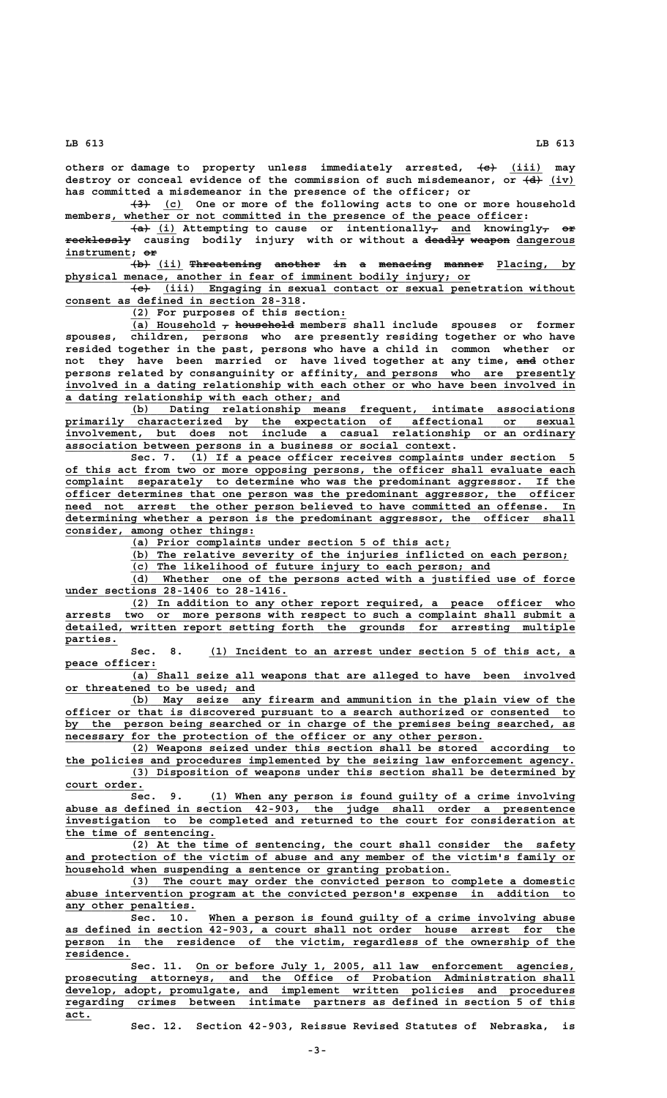others or damage to property unless immediately arrested, <del>(c)</del> (iii) may destroy or conceal evidence of the commission of such misdemeanor, or  $\left(4\right)$  (iv) **has committed a misdemeanor in the presence of the officer; or**

 **——— \_\_\_ (3) (c) One or more of the following acts to one or more household \_\_\_\_\_\_\_\_\_\_\_\_\_\_\_\_\_\_\_\_\_\_\_\_\_\_\_\_\_\_\_\_\_\_\_\_\_\_\_\_\_\_\_\_\_\_\_\_\_\_\_\_\_\_\_\_\_\_\_\_\_\_\_ members, whether or not committed in the presence of the peace officer:**

 **——— \_\_\_ — \_\_\_ — —— (a) (i) Attempting to cause or intentionally, and knowingly, or recklessly causing bodily injury with or without a deadly weapon dangerous —————————— —————— —————— \_\_\_\_\_\_\_\_\_ instrument; or \_\_\_\_\_\_\_\_\_\_ ——**

(b) (ii) Threatening another in a menacing manner Placing, by  **\_\_\_\_\_\_\_\_\_\_\_\_\_\_\_\_\_\_\_\_\_\_\_\_\_\_\_\_\_\_\_\_\_\_\_\_\_\_\_\_\_\_\_\_\_\_\_\_\_\_\_\_\_\_\_\_\_\_\_\_\_\_ physical menace, another in fear of imminent bodily injury; or**

 **——— \_\_\_\_\_\_\_\_\_\_\_\_\_\_\_\_\_\_\_\_\_\_\_\_\_\_\_\_\_\_\_\_\_\_\_\_\_\_\_\_\_\_\_\_\_\_\_\_\_\_\_\_\_\_\_\_\_\_\_\_\_\_\_ (c) (iii) Engaging in sexual contact or sexual penetration without \_\_\_\_\_\_\_\_\_\_\_\_\_\_\_\_\_\_\_\_\_\_\_\_\_\_\_\_\_\_\_\_\_\_\_\_ consent as defined in section 28-318.**

 **\_\_\_ \_ (2) For purposes of this section:**

(a) Household  $\tau$  household members shall include spouses or former **spouses, children, persons who are presently residing together or who have resided together in the past, persons who have a child in common whether or** not they have been married or have lived together at any time, and other persons related by consanguinity or affinity, and persons who are presently  **\_\_\_\_\_\_\_\_\_\_\_\_\_\_\_\_\_\_\_\_\_\_\_\_\_\_\_\_\_\_\_\_\_\_\_\_\_\_\_\_\_\_\_\_\_\_\_\_\_\_\_\_\_\_\_\_\_\_\_\_\_\_\_\_\_\_\_\_\_\_\_\_\_\_\_\_\_\_ involved in a dating relationship with each other or who have been involved in**

**<u>a dating relationship with each other; and</u><br>
<u>(b)</u> Dating relationship means \_\_\_\_\_\_\_\_\_\_\_\_\_\_\_\_\_\_\_\_\_\_\_\_\_\_\_\_\_\_\_\_\_\_\_\_\_\_\_\_\_\_\_\_\_\_\_\_\_\_\_\_\_\_\_\_\_\_\_\_\_\_\_\_\_\_\_\_ (b) Dating relationship means frequent, intimate associations \_\_\_\_\_\_\_\_\_\_\_\_\_\_\_\_\_\_\_\_\_\_\_\_\_\_\_\_\_\_\_\_\_\_\_\_\_\_\_\_\_\_\_\_\_\_\_\_\_\_\_\_\_\_\_\_\_\_\_\_\_\_\_\_\_\_\_\_\_\_\_\_\_\_\_\_\_\_ primarily characterized by the expectation of affectional or sexual \_\_\_\_\_\_\_\_\_\_\_\_\_\_\_\_\_\_\_\_\_\_\_\_\_\_\_\_\_\_\_\_\_\_\_\_\_\_\_\_\_\_\_\_\_\_\_\_\_\_\_\_\_\_\_\_\_\_\_\_\_\_\_\_\_\_\_\_\_\_\_\_\_\_\_\_\_\_ involvement, but does not include a casual relationship or an ordinary \_\_\_\_\_\_\_\_\_\_\_\_\_\_\_\_\_\_\_\_\_\_\_\_\_\_\_\_\_\_\_\_\_\_\_\_\_\_\_\_\_\_\_\_\_\_\_\_\_\_\_\_\_\_\_\_\_\_\_ association between persons in a business or social context.**

Sec. 7. (1) If a peace officer receives complaints under section  **\_\_\_\_\_\_\_\_\_\_\_\_\_\_\_\_\_\_\_\_\_\_\_\_\_\_\_\_\_\_\_\_\_\_\_\_\_\_\_\_\_\_\_\_\_\_\_\_\_\_\_\_\_\_\_\_\_\_\_\_\_\_\_\_\_\_\_\_\_\_\_\_\_\_\_\_\_\_ of this act from two or more opposing persons, the officer shall evaluate each \_\_\_\_\_\_\_\_\_\_\_\_\_\_\_\_\_\_\_\_\_\_\_\_\_\_\_\_\_\_\_\_\_\_\_\_\_\_\_\_\_\_\_\_\_\_\_\_\_\_\_\_\_\_\_\_\_\_\_\_\_\_\_\_\_\_\_\_\_\_\_\_\_\_\_\_\_\_ complaint separately to determine who was the predominant aggressor. If the \_\_\_\_\_\_\_\_\_\_\_\_\_\_\_\_\_\_\_\_\_\_\_\_\_\_\_\_\_\_\_\_\_\_\_\_\_\_\_\_\_\_\_\_\_\_\_\_\_\_\_\_\_\_\_\_\_\_\_\_\_\_\_\_\_\_\_\_\_\_\_\_\_\_\_\_\_\_ officer determines that one person was the predominant aggressor, the officer \_\_\_\_\_\_\_\_\_\_\_\_\_\_\_\_\_\_\_\_\_\_\_\_\_\_\_\_\_\_\_\_\_\_\_\_\_\_\_\_\_\_\_\_\_\_\_\_\_\_\_\_\_\_\_\_\_\_\_\_\_\_\_\_\_\_\_\_\_\_\_\_\_\_\_\_\_\_ need not arrest the other person believed to have committed an offense. In \_\_\_\_\_\_\_\_\_\_\_\_\_\_\_\_\_\_\_\_\_\_\_\_\_\_\_\_\_\_\_\_\_\_\_\_\_\_\_\_\_\_\_\_\_\_\_\_\_\_\_\_\_\_\_\_\_\_\_\_\_\_\_\_\_\_\_\_\_\_\_\_\_\_\_\_\_\_ determining whether a person is the predominant aggressor, the officer shall \_\_\_\_\_\_\_\_\_\_\_\_\_\_\_\_\_\_\_\_\_\_\_\_\_\_\_\_\_ consider, among other things:**

 **\_\_\_\_\_\_\_\_\_\_\_\_\_\_\_\_\_\_\_\_\_\_\_\_\_\_\_\_\_\_\_\_\_\_\_\_\_\_\_\_\_\_\_\_\_\_\_\_\_ (a) Prior complaints under section 5 of this act;**

 **\_\_\_\_\_\_\_\_\_\_\_\_\_\_\_\_\_\_\_\_\_\_\_\_\_\_\_\_\_\_\_\_\_\_\_\_\_\_\_\_\_\_\_\_\_\_\_\_\_\_\_\_\_\_\_\_\_\_\_\_\_\_\_\_\_\_\_ (b) The relative severity of the injuries inflicted on each person;**

 **\_\_\_\_\_\_\_\_\_\_\_\_\_\_\_\_\_\_\_\_\_\_\_\_\_\_\_\_\_\_\_\_\_\_\_\_\_\_\_\_\_\_\_\_\_\_\_\_\_\_\_\_\_\_\_ (c) The likelihood of future injury to each person; and**

 **\_\_\_\_\_\_\_\_\_\_\_\_\_\_\_\_\_\_\_\_\_\_\_\_\_\_\_\_\_\_\_\_\_\_\_\_\_\_\_\_\_\_\_\_\_\_\_\_\_\_\_\_\_\_\_\_\_\_\_\_\_\_\_\_\_\_\_\_ (d) Whether one of the persons acted with a justified use of force \_\_\_\_\_\_\_\_\_\_\_\_\_\_\_\_\_\_\_\_\_\_\_\_\_\_\_\_\_\_\_\_\_\_ under sections 28-1406 to 28-1416.**

 **\_\_\_\_\_\_\_\_\_\_\_\_\_\_\_\_\_\_\_\_\_\_\_\_\_\_\_\_\_\_\_\_\_\_\_\_\_\_\_\_\_\_\_\_\_\_\_\_\_\_\_\_\_\_\_\_\_\_\_\_\_\_\_\_\_\_\_\_ (2) In addition to any other report required, a peace officer who \_\_\_\_\_\_\_\_\_\_\_\_\_\_\_\_\_\_\_\_\_\_\_\_\_\_\_\_\_\_\_\_\_\_\_\_\_\_\_\_\_\_\_\_\_\_\_\_\_\_\_\_\_\_\_\_\_\_\_\_\_\_\_\_\_\_\_\_\_\_\_\_\_\_\_\_\_\_ arrests two or more persons with respect to such a complaint shall submit a \_\_\_\_\_\_\_\_\_\_\_\_\_\_\_\_\_\_\_\_\_\_\_\_\_\_\_\_\_\_\_\_\_\_\_\_\_\_\_\_\_\_\_\_\_\_\_\_\_\_\_\_\_\_\_\_\_\_\_\_\_\_\_\_\_\_\_\_\_\_\_\_\_\_\_\_\_\_ detailed, written report setting forth the grounds for arresting multiple parties. \_\_\_\_\_\_\_\_**

 **\_\_\_\_\_\_\_\_\_\_\_\_\_\_\_\_\_\_\_\_\_\_\_\_\_\_\_\_\_\_\_\_\_\_\_\_\_\_\_\_\_\_\_\_\_\_\_\_\_\_\_\_\_\_\_\_ Sec. 8. (1) Incident to an arrest under section 5 of this act, a peace officer: \_\_\_\_\_\_\_\_\_\_\_\_\_\_**

 **\_\_\_\_\_\_\_\_\_\_\_\_\_\_\_\_\_\_\_\_\_\_\_\_\_\_\_\_\_\_\_\_\_\_\_\_\_\_\_\_\_\_\_\_\_\_\_\_\_\_\_\_\_\_\_\_\_\_\_\_\_\_\_\_\_\_\_\_ (a) Shall seize all weapons that are alleged to have been involved \_\_\_\_\_\_\_\_\_\_\_\_\_\_\_\_\_\_\_\_\_\_\_\_\_\_\_\_\_ or threatened to be used; and**

 **\_\_\_\_\_\_\_\_\_\_\_\_\_\_\_\_\_\_\_\_\_\_\_\_\_\_\_\_\_\_\_\_\_\_\_\_\_\_\_\_\_\_\_\_\_\_\_\_\_\_\_\_\_\_\_\_\_\_\_\_\_\_\_\_\_\_\_\_ (b) May seize any firearm and ammunition in the plain view of the \_\_\_\_\_\_\_\_\_\_\_\_\_\_\_\_\_\_\_\_\_\_\_\_\_\_\_\_\_\_\_\_\_\_\_\_\_\_\_\_\_\_\_\_\_\_\_\_\_\_\_\_\_\_\_\_\_\_\_\_\_\_\_\_\_\_\_\_\_\_\_\_\_\_\_\_\_\_ officer or that is discovered pursuant to a search authorized or consented to \_\_\_\_\_\_\_\_\_\_\_\_\_\_\_\_\_\_\_\_\_\_\_\_\_\_\_\_\_\_\_\_\_\_\_\_\_\_\_\_\_\_\_\_\_\_\_\_\_\_\_\_\_\_\_\_\_\_\_\_\_\_\_\_\_\_\_\_\_\_\_\_\_\_\_\_\_\_ by the person being searched or in charge of the premises being searched, as**  $\frac{1}{2}$  necessary for the protection of the officer or any other person.

 **\_\_\_\_\_\_\_\_\_\_\_\_\_\_\_\_\_\_\_\_\_\_\_\_\_\_\_\_\_\_\_\_\_\_\_\_\_\_\_\_\_\_\_\_\_\_\_\_\_\_\_\_\_\_\_\_\_\_\_\_\_\_\_\_\_\_\_\_ (2) Weapons seized under this section shall be stored according to \_\_\_\_\_\_\_\_\_\_\_\_\_\_\_\_\_\_\_\_\_\_\_\_\_\_\_\_\_\_\_\_\_\_\_\_\_\_\_\_\_\_\_\_\_\_\_\_\_\_\_\_\_\_\_\_\_\_\_\_\_\_\_\_\_\_\_\_\_\_\_\_\_\_\_\_\_\_ the policies and procedures implemented by the seizing law enforcement agency. \_\_\_\_\_\_\_\_\_\_\_\_\_\_\_\_\_\_\_\_\_\_\_\_\_\_\_\_\_\_\_\_\_\_\_\_\_\_\_\_\_\_\_\_\_\_\_\_\_\_\_\_\_\_\_\_\_\_\_\_\_\_\_\_\_\_\_\_ (3) Disposition of weapons under this section shall be determined by** court order.

Sec. 9. (1) When any person is found guilty of a crime involving abuse as defined in section  $\overline{42-903}$ , the judge shall order a presentence  **\_\_\_\_\_\_\_\_\_\_\_\_\_\_\_\_\_\_\_\_\_\_\_\_\_\_\_\_\_\_\_\_\_\_\_\_\_\_\_\_\_\_\_\_\_\_\_\_\_\_\_\_\_\_\_\_\_\_\_\_\_\_\_\_\_\_\_\_\_\_\_\_\_\_\_\_\_\_ investigation to be completed and returned to the court for consideration at \_\_\_\_\_\_\_\_\_\_\_\_\_\_\_\_\_\_\_\_\_\_\_ the time of sentencing.**

 **\_\_\_\_\_\_\_\_\_\_\_\_\_\_\_\_\_\_\_\_\_\_\_\_\_\_\_\_\_\_\_\_\_\_\_\_\_\_\_\_\_\_\_\_\_\_\_\_\_\_\_\_\_\_\_\_\_\_\_\_\_\_\_\_\_\_\_\_ (2) At the time of sentencing, the court shall consider the safety** and protection of the victim of abuse and any member of the victim's family or  **\_\_\_\_\_\_\_\_\_\_\_\_\_\_\_\_\_\_\_\_\_\_\_\_\_\_\_\_\_\_\_\_\_\_\_\_\_\_\_\_\_\_\_\_\_\_\_\_\_\_\_\_\_\_\_\_\_\_\_ household when suspending a sentence or granting probation.**

 **\_\_\_\_\_\_\_\_\_\_\_\_\_\_\_\_\_\_\_\_\_\_\_\_\_\_\_\_\_\_\_\_\_\_\_\_\_\_\_\_\_\_\_\_\_\_\_\_\_\_\_\_\_\_\_\_\_\_\_\_\_\_\_\_\_\_\_\_ (3) The court may order the convicted person to complete a domestic \_\_\_\_\_\_\_\_\_\_\_\_\_\_\_\_\_\_\_\_\_\_\_\_\_\_\_\_\_\_\_\_\_\_\_\_\_\_\_\_\_\_\_\_\_\_\_\_\_\_\_\_\_\_\_\_\_\_\_\_\_\_\_\_\_\_\_\_\_\_\_\_\_\_\_\_\_\_ abuse intervention program at the convicted person's expense in addition to \_\_\_\_\_\_\_\_\_\_\_\_\_\_\_\_\_\_\_\_ any other penalties.**

Sec. 10. When a person is found guilty of a crime involving abuse  **\_\_\_\_\_\_\_\_\_\_\_\_\_\_\_\_\_\_\_\_\_\_\_\_\_\_\_\_\_\_\_\_\_\_\_\_\_\_\_\_\_\_\_\_\_\_\_\_\_\_\_\_\_\_\_\_\_\_\_\_\_\_\_\_\_\_\_\_\_\_\_\_\_\_\_\_\_\_ as defined in section 42-903, a court shall not order house arrest for the \_\_\_\_\_\_\_\_\_\_\_\_\_\_\_\_\_\_\_\_\_\_\_\_\_\_\_\_\_\_\_\_\_\_\_\_\_\_\_\_\_\_\_\_\_\_\_\_\_\_\_\_\_\_\_\_\_\_\_\_\_\_\_\_\_\_\_\_\_\_\_\_\_\_\_\_\_\_ person in the residence of the victim, regardless of the ownership of the residence. \_\_\_\_\_\_\_\_\_\_**

 **\_\_\_\_\_\_\_\_\_\_\_\_\_\_\_\_\_\_\_\_\_\_\_\_\_\_\_\_\_\_\_\_\_\_\_\_\_\_\_\_\_\_\_\_\_\_\_\_\_\_\_\_\_\_\_\_\_\_ Sec. 11. On or before July 1, 2005, all law enforcement agencies, \_\_\_\_\_\_\_\_\_\_\_\_\_\_\_\_\_\_\_\_\_\_\_\_\_\_\_\_\_\_\_\_\_\_\_\_\_\_\_\_\_\_\_\_\_\_\_\_\_\_\_\_\_\_\_\_\_\_\_\_\_\_\_\_\_\_\_\_\_\_\_\_\_\_\_\_\_\_ prosecuting attorneys, and the Office of Probation Administration shall \_\_\_\_\_\_\_\_\_\_\_\_\_\_\_\_\_\_\_\_\_\_\_\_\_\_\_\_\_\_\_\_\_\_\_\_\_\_\_\_\_\_\_\_\_\_\_\_\_\_\_\_\_\_\_\_\_\_\_\_\_\_\_\_\_\_\_\_\_\_\_\_\_\_\_\_\_\_ develop, adopt, promulgate, and implement written policies and procedures \_\_\_\_\_\_\_\_\_\_\_\_\_\_\_\_\_\_\_\_\_\_\_\_\_\_\_\_\_\_\_\_\_\_\_\_\_\_\_\_\_\_\_\_\_\_\_\_\_\_\_\_\_\_\_\_\_\_\_\_\_\_\_\_\_\_\_\_\_\_\_\_\_\_\_\_\_\_ regarding crimes between intimate partners as defined in section 5 of this act.\_\_\_\_**

**Sec. 12. Section 42-903, Reissue Revised Statutes of Nebraska, is**